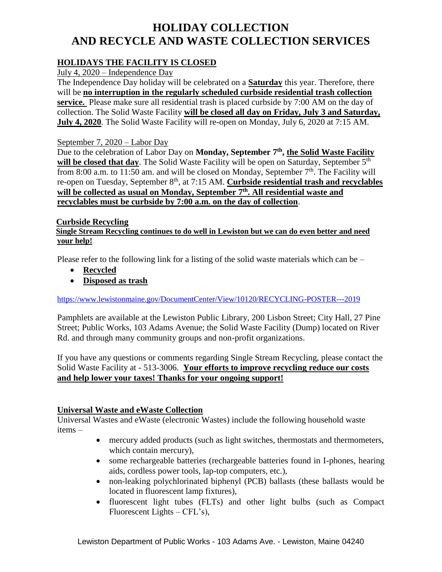# **HOLIDAY COLLECTION AND RECYCLE AND WASTE COLLECTION SERVICES**

## **HOLIDAYS THE FACILITY IS CLOSED**

July 4, 2020 – Independence Day

The Independence Day holiday will be celebrated on a **Saturday** this year. Therefore, there will be **no interruption in the regularly scheduled curbside residential trash collection service.** Please make sure all residential trash is placed curbside by 7:00 AM on the day of collection. The Solid Waste Facility **will be closed all day on Friday, July 3 and Saturday, July 4, 2020**. The Solid Waste Facility will re-open on Monday, July 6, 2020 at 7:15 AM.

#### September 7, 2020 – Labor Day

Due to the celebration of Labor Day on Monday, September 7<sup>th</sup>, the Solid Waste Facility will be closed that day. The Solid Waste Facility will be open on Saturday, September 5<sup>th</sup> from 8:00 a.m. to 11:50 am. and will be closed on Monday, September  $7<sup>th</sup>$ . The Facility will re-open on Tuesday, September 8<sup>th</sup>, at 7:15 AM. **Curbside residential trash and recyclables will be collected as usual on Monday, September 7 th . All residential waste and recyclables must be curbside by 7:00 a.m. on the day of collection**.

#### **Curbside Recycling**

 **Single Stream Recycling continues to do well in Lewiston but we can do even better and need your help!**

Please refer to the following link for a listing of the solid waste materials which can be –

- **Recycled**
- **Disposed as trash**

<https://www.lewistonmaine.gov/DocumentCenter/View/10120/RECYCLING-POSTER---2019>

Pamphlets are available at the Lewiston Public Library, 200 Lisbon Street; City Hall, 27 Pine Street; Public Works, 103 Adams Avenue; the Solid Waste Facility (Dump) located on River Rd. and through many community groups and non-profit organizations.

If you have any questions or comments regarding Single Stream Recycling, please contact the Solid Waste Facility at - 513-3006. **Your efforts to improve recycling reduce our costs and help lower your taxes! Thanks for your ongoing support!**

#### **Universal Waste and eWaste Collection**

Universal Wastes and eWaste (electronic Wastes) include the following household waste items –

- mercury added products (such as light switches, thermostats and thermometers, which contain mercury),
- some rechargeable batteries (rechargeable batteries found in I-phones, hearing aids, cordless power tools, lap-top computers, etc.),
- non-leaking polychlorinated biphenyl (PCB) ballasts (these ballasts would be located in fluorescent lamp fixtures),
- fluorescent light tubes (FLTs) and other light bulbs (such as Compact Fluorescent Lights – CFL's),